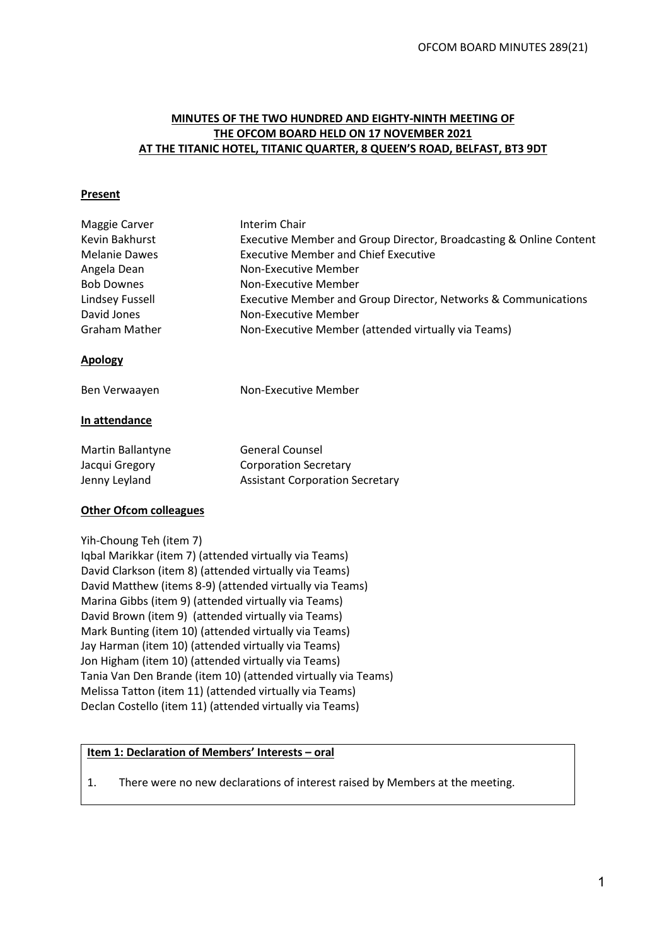#### **MINUTES OF THE TWO HUNDRED AND EIGHTY-NINTH MEETING OF THE OFCOM BOARD HELD ON 17 NOVEMBER 2021 AT THE TITANIC HOTEL, TITANIC QUARTER, 8 QUEEN'S ROAD, BELFAST, BT3 9DT**

#### **Present**

| Maggie Carver                 | Interim Chair                                                      |
|-------------------------------|--------------------------------------------------------------------|
| Kevin Bakhurst                | Executive Member and Group Director, Broadcasting & Online Content |
| <b>Melanie Dawes</b>          | <b>Executive Member and Chief Executive</b>                        |
| Angela Dean                   | Non-Executive Member                                               |
| <b>Bob Downes</b>             | Non-Executive Member                                               |
| Lindsey Fussell               | Executive Member and Group Director, Networks & Communications     |
| David Jones                   | Non-Executive Member                                               |
| <b>Graham Mather</b>          | Non-Executive Member (attended virtually via Teams)                |
| <b>Apology</b>                |                                                                    |
| Ben Verwaayen                 | Non-Executive Member                                               |
| In attendance                 |                                                                    |
| Martin Ballantyne             | <b>General Counsel</b>                                             |
| Jacqui Gregory                | <b>Corporation Secretary</b>                                       |
| Jenny Leyland                 | <b>Assistant Corporation Secretary</b>                             |
| <b>Other Ofcom colleagues</b> |                                                                    |
| Yih-Choung Teh (item 7)       |                                                                    |
|                               | Iqbal Marikkar (item 7) (attended virtually via Teams)             |
|                               | David Clarkson (item 8) (attended virtually via Teams)             |
|                               |                                                                    |

David Matthew (items 8-9) (attended virtually via Teams) Marina Gibbs (item 9) (attended virtually via Teams) David Brown (item 9) (attended virtually via Teams) Mark Bunting (item 10) (attended virtually via Teams) Jay Harman (item 10) (attended virtually via Teams) Jon Higham (item 10) (attended virtually via Teams) Tania Van Den Brande (item 10) (attended virtually via Teams) Melissa Tatton (item 11) (attended virtually via Teams) Declan Costello (item 11) (attended virtually via Teams)

# **Item 1: Declaration of Members' Interests – oral**

1. There were no new declarations of interest raised by Members at the meeting.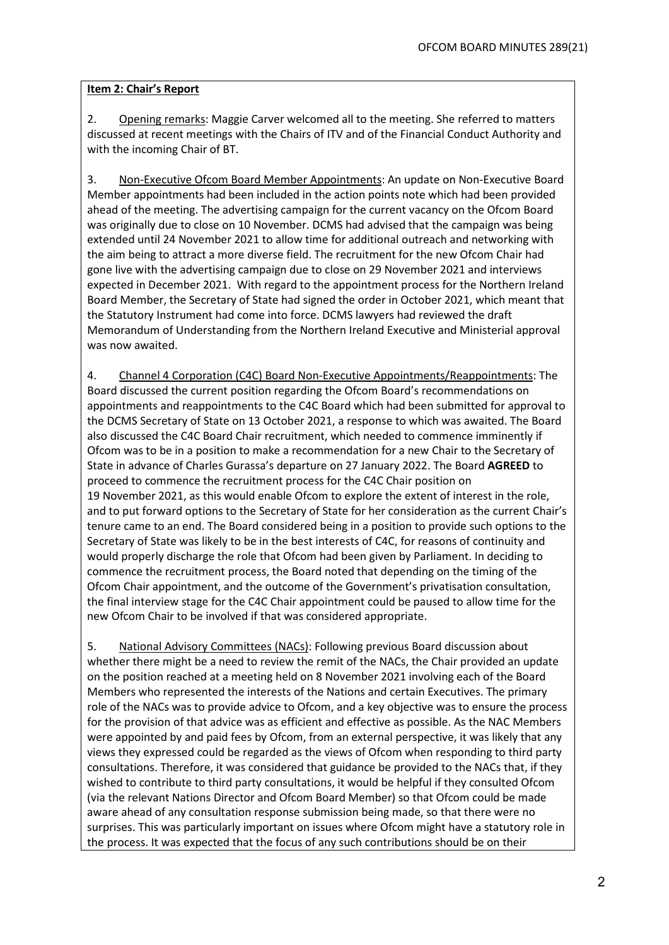#### **Item 2: Chair's Report**

2. Opening remarks: Maggie Carver welcomed all to the meeting. She referred to matters discussed at recent meetings with the Chairs of ITV and of the Financial Conduct Authority and with the incoming Chair of BT.

3. Non-Executive Ofcom Board Member Appointments: An update on Non-Executive Board Member appointments had been included in the action points note which had been provided ahead of the meeting. The advertising campaign for the current vacancy on the Ofcom Board was originally due to close on 10 November. DCMS had advised that the campaign was being extended until 24 November 2021 to allow time for additional outreach and networking with the aim being to attract a more diverse field. The recruitment for the new Ofcom Chair had gone live with the advertising campaign due to close on 29 November 2021 and interviews expected in December 2021. With regard to the appointment process for the Northern Ireland Board Member, the Secretary of State had signed the order in October 2021, which meant that the Statutory Instrument had come into force. DCMS lawyers had reviewed the draft Memorandum of Understanding from the Northern Ireland Executive and Ministerial approval was now awaited.

4. Channel 4 Corporation (C4C) Board Non-Executive Appointments/Reappointments: The Board discussed the current position regarding the Ofcom Board's recommendations on appointments and reappointments to the C4C Board which had been submitted for approval to the DCMS Secretary of State on 13 October 2021, a response to which was awaited. The Board also discussed the C4C Board Chair recruitment, which needed to commence imminently if Ofcom was to be in a position to make a recommendation for a new Chair to the Secretary of State in advance of Charles Gurassa's departure on 27 January 2022. The Board **AGREED** to proceed to commence the recruitment process for the C4C Chair position on 19 November 2021, as this would enable Ofcom to explore the extent of interest in the role, and to put forward options to the Secretary of State for her consideration as the current Chair's tenure came to an end. The Board considered being in a position to provide such options to the Secretary of State was likely to be in the best interests of C4C, for reasons of continuity and would properly discharge the role that Ofcom had been given by Parliament. In deciding to commence the recruitment process, the Board noted that depending on the timing of the Ofcom Chair appointment, and the outcome of the Government's privatisation consultation, the final interview stage for the C4C Chair appointment could be paused to allow time for the new Ofcom Chair to be involved if that was considered appropriate.

5. National Advisory Committees (NACs): Following previous Board discussion about whether there might be a need to review the remit of the NACs, the Chair provided an update on the position reached at a meeting held on 8 November 2021 involving each of the Board Members who represented the interests of the Nations and certain Executives. The primary role of the NACs was to provide advice to Ofcom, and a key objective was to ensure the process for the provision of that advice was as efficient and effective as possible. As the NAC Members were appointed by and paid fees by Ofcom, from an external perspective, it was likely that any views they expressed could be regarded as the views of Ofcom when responding to third party consultations. Therefore, it was considered that guidance be provided to the NACs that, if they wished to contribute to third party consultations, it would be helpful if they consulted Ofcom (via the relevant Nations Director and Ofcom Board Member) so that Ofcom could be made aware ahead of any consultation response submission being made, so that there were no surprises. This was particularly important on issues where Ofcom might have a statutory role in the process. It was expected that the focus of any such contributions should be on their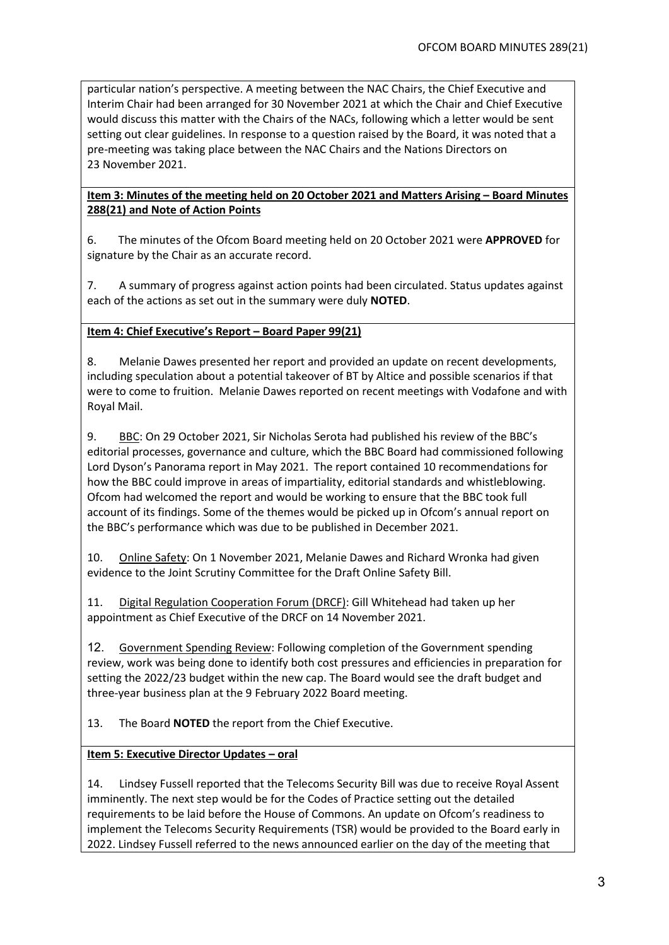particular nation's perspective. A meeting between the NAC Chairs, the Chief Executive and Interim Chair had been arranged for 30 November 2021 at which the Chair and Chief Executive would discuss this matter with the Chairs of the NACs, following which a letter would be sent setting out clear guidelines. In response to a question raised by the Board, it was noted that a pre-meeting was taking place between the NAC Chairs and the Nations Directors on 23 November 2021.

## **Item 3: Minutes of the meeting held on 20 October 2021 and Matters Arising – Board Minutes 288(21) and Note of Action Points**

6. The minutes of the Ofcom Board meeting held on 20 October 2021 were **APPROVED** for signature by the Chair as an accurate record.

7. A summary of progress against action points had been circulated. Status updates against each of the actions as set out in the summary were duly **NOTED**.

# **Item 4: Chief Executive's Report – Board Paper 99(21)**

8. Melanie Dawes presented her report and provided an update on recent developments, including speculation about a potential takeover of BT by Altice and possible scenarios if that were to come to fruition. Melanie Dawes reported on recent meetings with Vodafone and with Royal Mail.

9. BBC: On 29 October 2021, Sir Nicholas Serota had published his review of the BBC's editorial processes, governance and culture, which the BBC Board had commissioned following Lord Dyson's Panorama report in May 2021. The report contained 10 recommendations for how the BBC could improve in areas of impartiality, editorial standards and whistleblowing. Ofcom had welcomed the report and would be working to ensure that the BBC took full account of its findings. Some of the themes would be picked up in Ofcom's annual report on the BBC's performance which was due to be published in December 2021.

10. Online Safety: On 1 November 2021, Melanie Dawes and Richard Wronka had given evidence to the Joint Scrutiny Committee for the Draft Online Safety Bill.

11. Digital Regulation Cooperation Forum (DRCF): Gill Whitehead had taken up her appointment as Chief Executive of the DRCF on 14 November 2021.

12. Government Spending Review: Following completion of the Government spending review, work was being done to identify both cost pressures and efficiencies in preparation for setting the 2022/23 budget within the new cap. The Board would see the draft budget and three-year business plan at the 9 February 2022 Board meeting.

13. The Board **NOTED** the report from the Chief Executive.

## **Item 5: Executive Director Updates – oral**

14. Lindsey Fussell reported that the Telecoms Security Bill was due to receive Royal Assent imminently. The next step would be for the Codes of Practice setting out the detailed requirements to be laid before the House of Commons. An update on Ofcom's readiness to implement the Telecoms Security Requirements (TSR) would be provided to the Board early in 2022. Lindsey Fussell referred to the news announced earlier on the day of the meeting that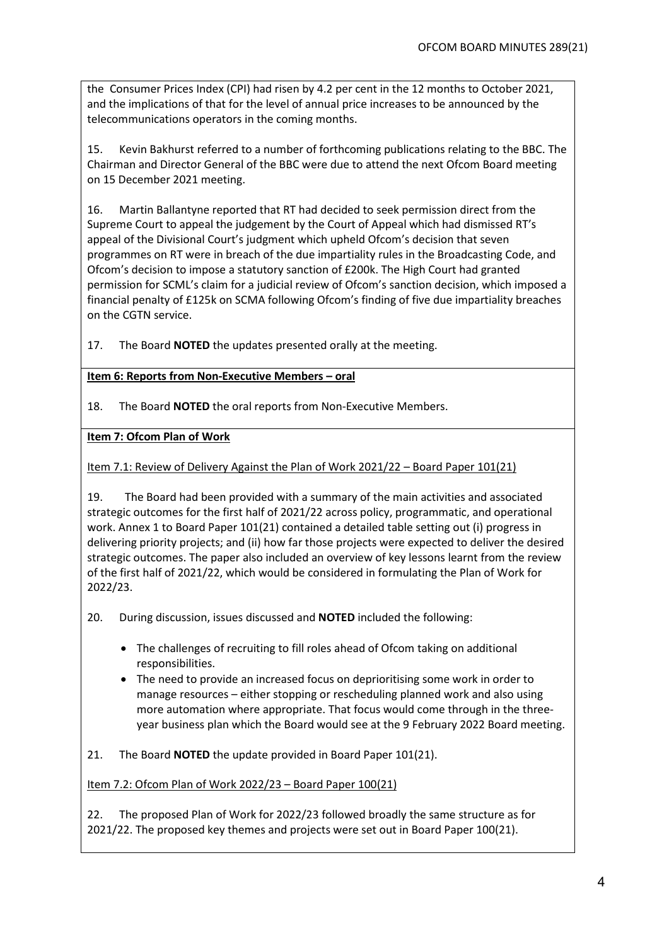the Consumer Prices Index (CPI) had risen by 4.2 per cent in the 12 months to October 2021, and the implications of that for the level of annual price increases to be announced by the telecommunications operators in the coming months.

15. Kevin Bakhurst referred to a number of forthcoming publications relating to the BBC. The Chairman and Director General of the BBC were due to attend the next Ofcom Board meeting on 15 December 2021 meeting.

16. Martin Ballantyne reported that RT had decided to seek permission direct from the Supreme Court to appeal the judgement by the Court of Appeal which had dismissed RT's appeal of the Divisional Court's judgment which upheld Ofcom's decision that seven programmes on RT were in breach of the due impartiality rules in the Broadcasting Code, and Ofcom's decision to impose a statutory sanction of £200k. The High Court had granted permission for SCML's claim for a judicial review of Ofcom's sanction decision, which imposed a financial penalty of £125k on SCMA following Ofcom's finding of five due impartiality breaches on the CGTN service.

17. The Board **NOTED** the updates presented orally at the meeting.

## **Item 6: Reports from Non-Executive Members – oral**

18. The Board **NOTED** the oral reports from Non-Executive Members.

**Item 7: Ofcom Plan of Work**

Item 7.1: Review of Delivery Against the Plan of Work 2021/22 – Board Paper 101(21)

19. The Board had been provided with a summary of the main activities and associated strategic outcomes for the first half of 2021/22 across policy, programmatic, and operational work. Annex 1 to Board Paper 101(21) contained a detailed table setting out (i) progress in delivering priority projects; and (ii) how far those projects were expected to deliver the desired strategic outcomes. The paper also included an overview of key lessons learnt from the review of the first half of 2021/22, which would be considered in formulating the Plan of Work for 2022/23.

20. During discussion, issues discussed and **NOTED** included the following:

- The challenges of recruiting to fill roles ahead of Ofcom taking on additional responsibilities.
- The need to provide an increased focus on deprioritising some work in order to manage resources – either stopping or rescheduling planned work and also using more automation where appropriate. That focus would come through in the threeyear business plan which the Board would see at the 9 February 2022 Board meeting.

21. The Board **NOTED** the update provided in Board Paper 101(21).

Item 7.2: Ofcom Plan of Work 2022/23 – Board Paper 100(21)

22. The proposed Plan of Work for 2022/23 followed broadly the same structure as for 2021/22. The proposed key themes and projects were set out in Board Paper 100(21).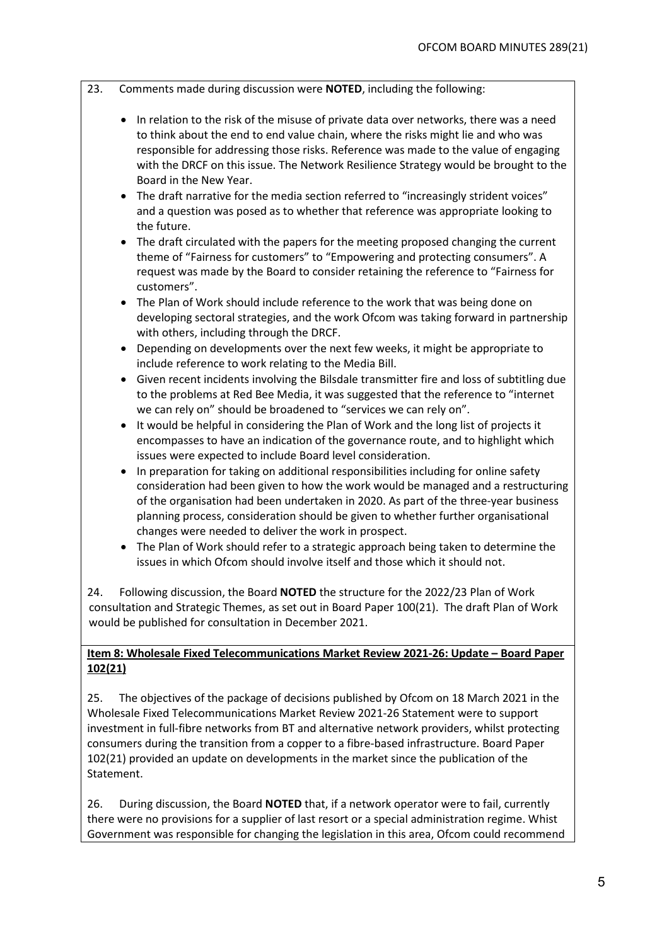- 23. Comments made during discussion were **NOTED**, including the following:
	- In relation to the risk of the misuse of private data over networks, there was a need to think about the end to end value chain, where the risks might lie and who was responsible for addressing those risks. Reference was made to the value of engaging with the DRCF on this issue. The Network Resilience Strategy would be brought to the Board in the New Year.
	- The draft narrative for the media section referred to "increasingly strident voices" and a question was posed as to whether that reference was appropriate looking to the future.
	- The draft circulated with the papers for the meeting proposed changing the current theme of "Fairness for customers" to "Empowering and protecting consumers". A request was made by the Board to consider retaining the reference to "Fairness for customers".
	- The Plan of Work should include reference to the work that was being done on developing sectoral strategies, and the work Ofcom was taking forward in partnership with others, including through the DRCF.
	- Depending on developments over the next few weeks, it might be appropriate to include reference to work relating to the Media Bill.
	- Given recent incidents involving the Bilsdale transmitter fire and loss of subtitling due to the problems at Red Bee Media, it was suggested that the reference to "internet we can rely on" should be broadened to "services we can rely on".
	- It would be helpful in considering the Plan of Work and the long list of projects it encompasses to have an indication of the governance route, and to highlight which issues were expected to include Board level consideration.
	- In preparation for taking on additional responsibilities including for online safety consideration had been given to how the work would be managed and a restructuring of the organisation had been undertaken in 2020. As part of the three-year business planning process, consideration should be given to whether further organisational changes were needed to deliver the work in prospect.
	- The Plan of Work should refer to a strategic approach being taken to determine the issues in which Ofcom should involve itself and those which it should not.

24. Following discussion, the Board **NOTED** the structure for the 2022/23 Plan of Work consultation and Strategic Themes, as set out in Board Paper 100(21). The draft Plan of Work would be published for consultation in December 2021.

# **Item 8: Wholesale Fixed Telecommunications Market Review 2021-26: Update – Board Paper 102(21)**

25. The objectives of the package of decisions published by Ofcom on 18 March 2021 in the Wholesale Fixed Telecommunications Market Review 2021-26 Statement were to support investment in full-fibre networks from BT and alternative network providers, whilst protecting consumers during the transition from a copper to a fibre-based infrastructure. Board Paper 102(21) provided an update on developments in the market since the publication of the Statement.

26. During discussion, the Board **NOTED** that, if a network operator were to fail, currently there were no provisions for a supplier of last resort or a special administration regime. Whist Government was responsible for changing the legislation in this area, Ofcom could recommend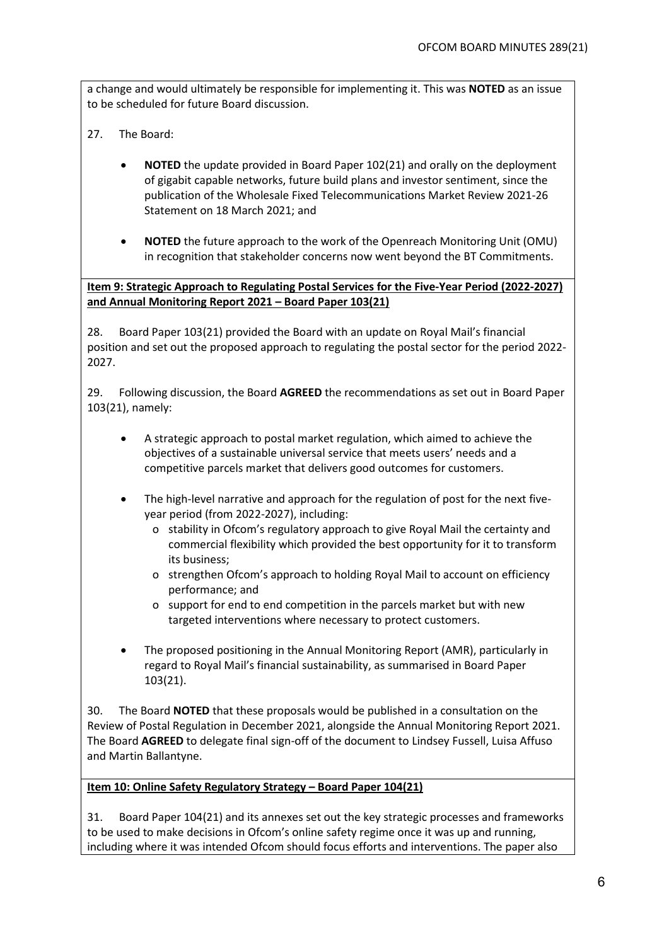a change and would ultimately be responsible for implementing it. This was **NOTED** as an issue to be scheduled for future Board discussion.

- 27. The Board:
	- **NOTED** the update provided in Board Paper 102(21) and orally on the deployment of gigabit capable networks, future build plans and investor sentiment, since the publication of the Wholesale Fixed Telecommunications Market Review 2021-26 Statement on 18 March 2021; and
	- **NOTED** the future approach to the work of the Openreach Monitoring Unit (OMU) in recognition that stakeholder concerns now went beyond the BT Commitments.

**Item 9: Strategic Approach to Regulating Postal Services for the Five-Year Period (2022-2027) and Annual Monitoring Report 2021 – Board Paper 103(21)** 

28. Board Paper 103(21) provided the Board with an update on Royal Mail's financial position and set out the proposed approach to regulating the postal sector for the period 2022- 2027.

29. Following discussion, the Board **AGREED** the recommendations as set out in Board Paper 103(21), namely:

- A strategic approach to postal market regulation, which aimed to achieve the objectives of a sustainable universal service that meets users' needs and a competitive parcels market that delivers good outcomes for customers.
- The high-level narrative and approach for the regulation of post for the next fiveyear period (from 2022-2027), including:
	- o stability in Ofcom's regulatory approach to give Royal Mail the certainty and commercial flexibility which provided the best opportunity for it to transform its business;
	- o strengthen Ofcom's approach to holding Royal Mail to account on efficiency performance; and
	- o support for end to end competition in the parcels market but with new targeted interventions where necessary to protect customers.
- The proposed positioning in the Annual Monitoring Report (AMR), particularly in regard to Royal Mail's financial sustainability, as summarised in Board Paper 103(21).

30. The Board **NOTED** that these proposals would be published in a consultation on the Review of Postal Regulation in December 2021, alongside the Annual Monitoring Report 2021. The Board **AGREED** to delegate final sign-off of the document to Lindsey Fussell, Luisa Affuso and Martin Ballantyne.

## **Item 10: Online Safety Regulatory Strategy – Board Paper 104(21)**

31. Board Paper 104(21) and its annexes set out the key strategic processes and frameworks to be used to make decisions in Ofcom's online safety regime once it was up and running, including where it was intended Ofcom should focus efforts and interventions. The paper also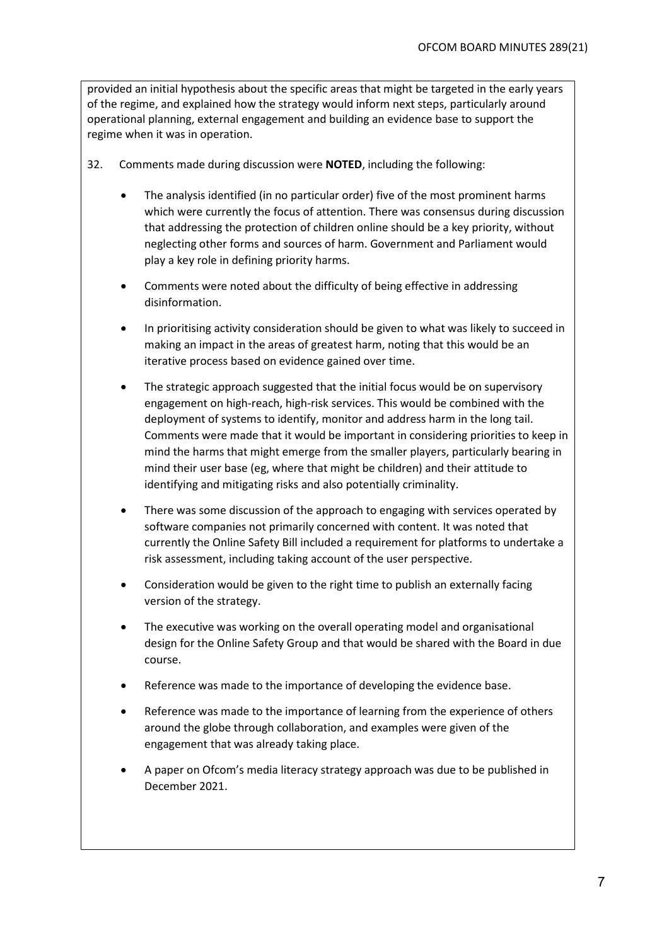provided an initial hypothesis about the specific areas that might be targeted in the early years of the regime, and explained how the strategy would inform next steps, particularly around operational planning, external engagement and building an evidence base to support the regime when it was in operation.

- 32. Comments made during discussion were **NOTED**, including the following:
	- The analysis identified (in no particular order) five of the most prominent harms which were currently the focus of attention. There was consensus during discussion that addressing the protection of children online should be a key priority, without neglecting other forms and sources of harm. Government and Parliament would play a key role in defining priority harms.
	- Comments were noted about the difficulty of being effective in addressing disinformation.
	- In prioritising activity consideration should be given to what was likely to succeed in making an impact in the areas of greatest harm, noting that this would be an iterative process based on evidence gained over time.
	- The strategic approach suggested that the initial focus would be on supervisory engagement on high-reach, high-risk services. This would be combined with the deployment of systems to identify, monitor and address harm in the long tail. Comments were made that it would be important in considering priorities to keep in mind the harms that might emerge from the smaller players, particularly bearing in mind their user base (eg, where that might be children) and their attitude to identifying and mitigating risks and also potentially criminality.
	- There was some discussion of the approach to engaging with services operated by software companies not primarily concerned with content. It was noted that currently the Online Safety Bill included a requirement for platforms to undertake a risk assessment, including taking account of the user perspective.
	- Consideration would be given to the right time to publish an externally facing version of the strategy.
	- The executive was working on the overall operating model and organisational design for the Online Safety Group and that would be shared with the Board in due course.
	- Reference was made to the importance of developing the evidence base.
	- Reference was made to the importance of learning from the experience of others around the globe through collaboration, and examples were given of the engagement that was already taking place.
	- A paper on Ofcom's media literacy strategy approach was due to be published in December 2021.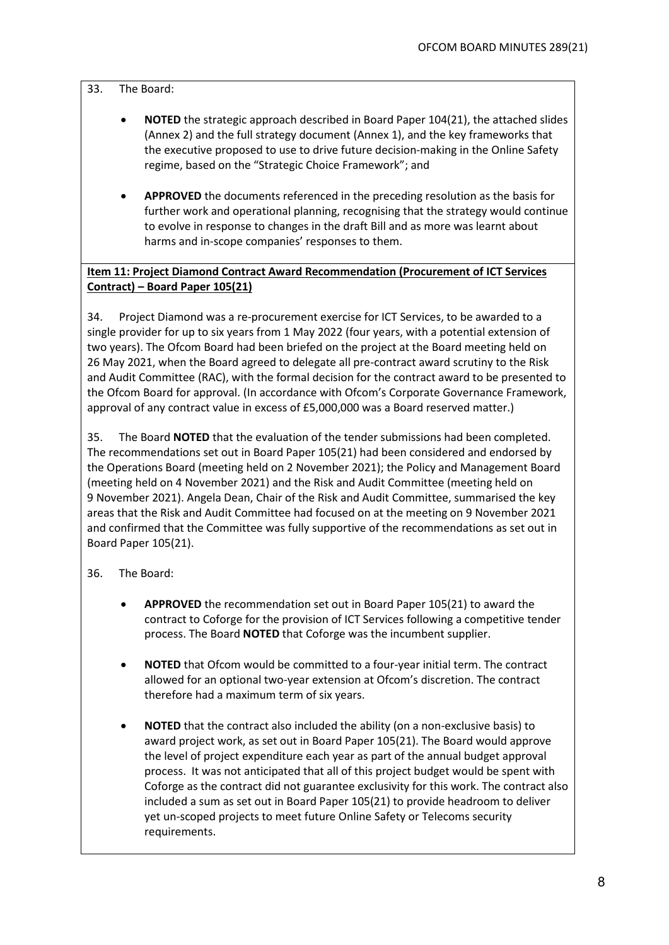#### 33. The Board:

- **NOTED** the strategic approach described in Board Paper 104(21), the attached slides (Annex 2) and the full strategy document (Annex 1), and the key frameworks that the executive proposed to use to drive future decision-making in the Online Safety regime, based on the "Strategic Choice Framework"; and
- **APPROVED** the documents referenced in the preceding resolution as the basis for further work and operational planning, recognising that the strategy would continue to evolve in response to changes in the draft Bill and as more was learnt about harms and in-scope companies' responses to them.

# **Item 11: Project Diamond Contract Award Recommendation (Procurement of ICT Services Contract) – Board Paper 105(21)**

34. Project Diamond was a re-procurement exercise for ICT Services, to be awarded to a single provider for up to six years from 1 May 2022 (four years, with a potential extension of two years). The Ofcom Board had been briefed on the project at the Board meeting held on 26 May 2021, when the Board agreed to delegate all pre-contract award scrutiny to the Risk and Audit Committee (RAC), with the formal decision for the contract award to be presented to the Ofcom Board for approval. (In accordance with Ofcom's Corporate Governance Framework, approval of any contract value in excess of £5,000,000 was a Board reserved matter.)

35. The Board **NOTED** that the evaluation of the tender submissions had been completed. The recommendations set out in Board Paper 105(21) had been considered and endorsed by the Operations Board (meeting held on 2 November 2021); the Policy and Management Board (meeting held on 4 November 2021) and the Risk and Audit Committee (meeting held on 9 November 2021). Angela Dean, Chair of the Risk and Audit Committee, summarised the key areas that the Risk and Audit Committee had focused on at the meeting on 9 November 2021 and confirmed that the Committee was fully supportive of the recommendations as set out in Board Paper 105(21).

36. The Board:

- **APPROVED** the recommendation set out in Board Paper 105(21) to award the contract to Coforge for the provision of ICT Services following a competitive tender process. The Board **NOTED** that Coforge was the incumbent supplier.
- **NOTED** that Ofcom would be committed to a four-year initial term. The contract allowed for an optional two-year extension at Ofcom's discretion. The contract therefore had a maximum term of six years.
- **NOTED** that the contract also included the ability (on a non-exclusive basis) to award project work, as set out in Board Paper 105(21). The Board would approve the level of project expenditure each year as part of the annual budget approval process. It was not anticipated that all of this project budget would be spent with Coforge as the contract did not guarantee exclusivity for this work. The contract also included a sum as set out in Board Paper 105(21) to provide headroom to deliver yet un-scoped projects to meet future Online Safety or Telecoms security requirements.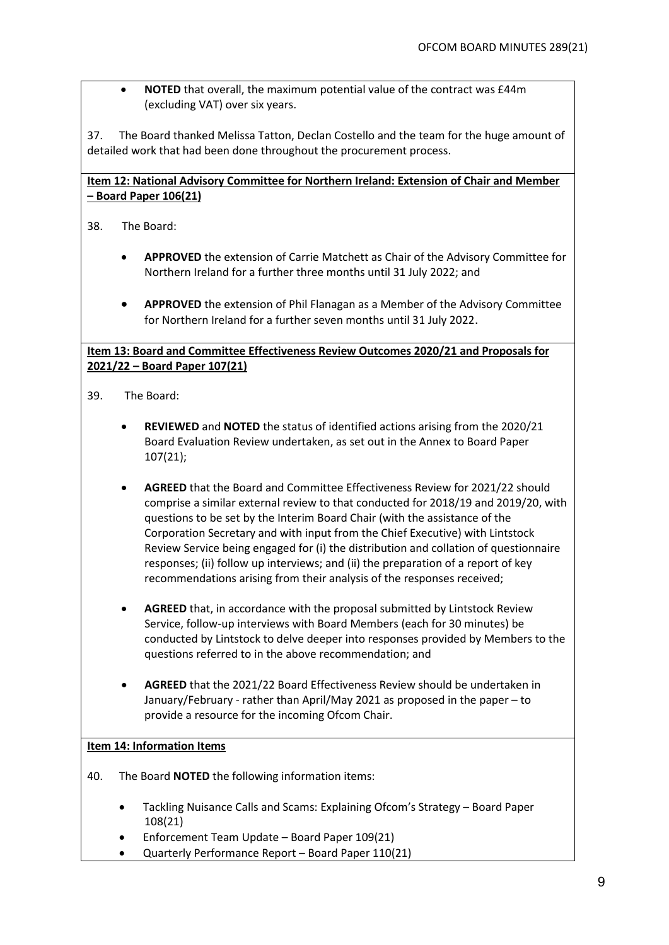• **NOTED** that overall, the maximum potential value of the contract was £44m (excluding VAT) over six years.

37. The Board thanked Melissa Tatton, Declan Costello and the team for the huge amount of detailed work that had been done throughout the procurement process.

# **Item 12: National Advisory Committee for Northern Ireland: Extension of Chair and Member – Board Paper 106(21)**

38. The Board:

- **APPROVED** the extension of Carrie Matchett as Chair of the Advisory Committee for Northern Ireland for a further three months until 31 July 2022; and
- **APPROVED** the extension of Phil Flanagan as a Member of the Advisory Committee for Northern Ireland for a further seven months until 31 July 2022.

# **Item 13: Board and Committee Effectiveness Review Outcomes 2020/21 and Proposals for 2021/22 – Board Paper 107(21)**

- 39. The Board:
	- **REVIEWED** and **NOTED** the status of identified actions arising from the 2020/21 Board Evaluation Review undertaken, as set out in the Annex to Board Paper 107(21);
	- **AGREED** that the Board and Committee Effectiveness Review for 2021/22 should comprise a similar external review to that conducted for 2018/19 and 2019/20, with questions to be set by the Interim Board Chair (with the assistance of the Corporation Secretary and with input from the Chief Executive) with Lintstock Review Service being engaged for (i) the distribution and collation of questionnaire responses; (ii) follow up interviews; and (ii) the preparation of a report of key recommendations arising from their analysis of the responses received;
	- **AGREED** that, in accordance with the proposal submitted by Lintstock Review Service, follow-up interviews with Board Members (each for 30 minutes) be conducted by Lintstock to delve deeper into responses provided by Members to the questions referred to in the above recommendation; and
	- **AGREED** that the 2021/22 Board Effectiveness Review should be undertaken in January/February - rather than April/May 2021 as proposed in the paper – to provide a resource for the incoming Ofcom Chair.

## **Item 14: Information Items**

- 40. The Board **NOTED** the following information items:
	- Tackling Nuisance Calls and Scams: Explaining Ofcom's Strategy Board Paper 108(21)
	- Enforcement Team Update Board Paper 109(21)
	- Quarterly Performance Report Board Paper 110(21)